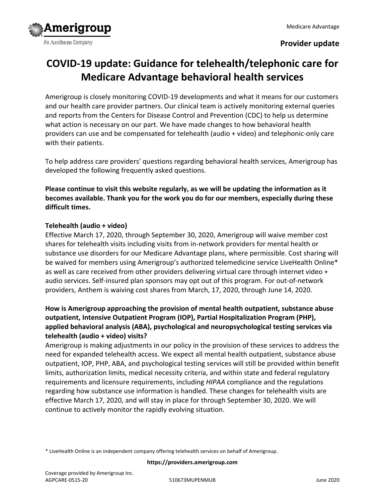# **Provider update**

# **COVID-19 update: Guidance for telehealth/telephonic care for Medicare Advantage behavioral health services**

Amerigroup is closely monitoring COVID-19 developments and what it means for our customers and our health care provider partners. Our clinical team is actively monitoring external queries and reports from the Centers for Disease Control and Prevention (CDC) to help us determine what action is necessary on our part. We have made changes to how behavioral health providers can use and be compensated for telehealth (audio + video) and telephonic-only care with their patients.

To help address care providers' questions regarding behavioral health services, Amerigroup has developed the following frequently asked questions.

**Please continue to visit this website regularly, as we will be updating the information as it becomes available. Thank you for the work you do for our members, especially during these difficult times.**

#### **Telehealth (audio + video)**

Effective March 17, 2020, through September 30, 2020, Amerigroup will waive member cost shares for telehealth visits including visits from in-network providers for mental health or substance use disorders for our Medicare Advantage plans, where permissible. Cost sharing will be waived for members using Amerigroup's authorized telemedicine service LiveHealth Online\* as well as care received from other providers delivering virtual care through internet video + audio services. Self-insured plan sponsors may opt out of this program. For out-of-network providers, Anthem is waiving cost shares from March, 17, 2020, through June 14, 2020.

# **How is Amerigroup approaching the provision of mental health outpatient, substance abuse outpatient, Intensive Outpatient Program (IOP), Partial Hospitalization Program (PHP), applied behavioral analysis (ABA), psychological and neuropsychological testing services via telehealth (audio + video) visits?**

Amerigroup is making adjustments in our policy in the provision of these services to address the need for expanded telehealth access. We expect all mental health outpatient, substance abuse outpatient, IOP, PHP, ABA, and psychological testing services will still be provided within benefit limits, authorization limits, medical necessity criteria, and within state and federal regulatory requirements and licensure requirements, including *HIPAA* compliance and the regulations regarding how substance use information is handled. These changes for telehealth visits are effective March 17, 2020, and will stay in place for through September 30, 2020. We will continue to actively monitor the rapidly evolving situation.

\* LiveHealth Online is an independent company offering telehealth services on behalf of Amerigroup.

#### **https://providers.amerigroup.com**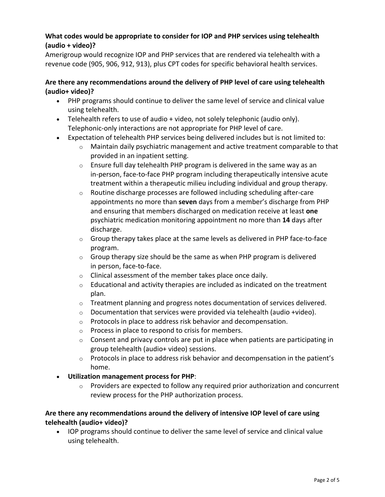#### **What codes would be appropriate to consider for IOP and PHP services using telehealth (audio + video)?**

Amerigroup would recognize IOP and PHP services that are rendered via telehealth with a revenue code (905, 906, 912, 913), plus CPT codes for specific behavioral health services.

# **Are there any recommendations around the delivery of PHP level of care using telehealth (audio+ video)?**

- PHP programs should continue to deliver the same level of service and clinical value using telehealth.
- Telehealth refers to use of audio + video, not solely telephonic (audio only). Telephonic-only interactions are not appropriate for PHP level of care.
- Expectation of telehealth PHP services being delivered includes but is not limited to:
	- $\circ$  Maintain daily psychiatric management and active treatment comparable to that provided in an inpatient setting.
	- $\circ$  Ensure full day telehealth PHP program is delivered in the same way as an in-person, face-to-face PHP program including therapeutically intensive acute treatment within a therapeutic milieu including individual and group therapy.
	- o Routine discharge processes are followed including scheduling after-care appointments no more than **seven** days from a member's discharge from PHP and ensuring that members discharged on medication receive at least **one** psychiatric medication monitoring appointment no more than **14** days after discharge.
	- $\circ$  Group therapy takes place at the same levels as delivered in PHP face-to-face program.
	- $\circ$  Group therapy size should be the same as when PHP program is delivered in person, face-to-face.
	- $\circ$  Clinical assessment of the member takes place once daily.
	- $\circ$  Educational and activity therapies are included as indicated on the treatment plan.
	- $\circ$  Treatment planning and progress notes documentation of services delivered.
	- o Documentation that services were provided via telehealth (audio +video).
	- o Protocols in place to address risk behavior and decompensation.
	- o Process in place to respond to crisis for members.
	- $\circ$  Consent and privacy controls are put in place when patients are participating in group telehealth (audio+ video) sessions.
	- $\circ$  Protocols in place to address risk behavior and decompensation in the patient's home.
- **Utilization management process for PHP**:
	- $\circ$  Providers are expected to follow any required prior authorization and concurrent review process for the PHP authorization process.

# **Are there any recommendations around the delivery of intensive IOP level of care using telehealth (audio+ video)?**

 IOP programs should continue to deliver the same level of service and clinical value using telehealth.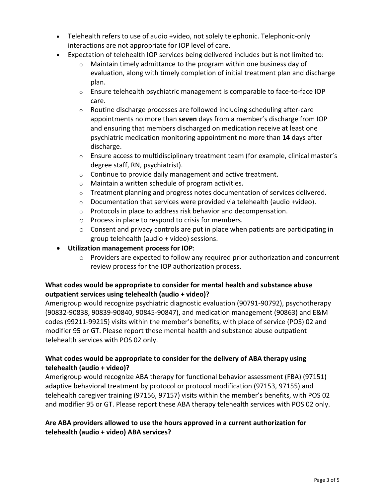- Telehealth refers to use of audio +video, not solely telephonic. Telephonic-only interactions are not appropriate for IOP level of care.
- Expectation of telehealth IOP services being delivered includes but is not limited to:
	- $\circ$  Maintain timely admittance to the program within one business day of evaluation, along with timely completion of initial treatment plan and discharge plan.
	- $\circ$  Ensure telehealth psychiatric management is comparable to face-to-face IOP care.
	- o Routine discharge processes are followed including scheduling after-care appointments no more than **seven** days from a member's discharge from IOP and ensuring that members discharged on medication receive at least one psychiatric medication monitoring appointment no more than **14** days after discharge.
	- $\circ$  Ensure access to multidisciplinary treatment team (for example, clinical master's degree staff, RN, psychiatrist).
	- $\circ$  Continue to provide daily management and active treatment.
	- o Maintain a written schedule of program activities.
	- $\circ$  Treatment planning and progress notes documentation of services delivered.
	- $\circ$  Documentation that services were provided via telehealth (audio +video).
	- o Protocols in place to address risk behavior and decompensation.
	- o Process in place to respond to crisis for members.
	- $\circ$  Consent and privacy controls are put in place when patients are participating in group telehealth (audio + video) sessions.
- **Utilization management process for IOP**:
	- o Providers are expected to follow any required prior authorization and concurrent review process for the IOP authorization process.

# **What codes would be appropriate to consider for mental health and substance abuse outpatient services using telehealth (audio + video)?**

Amerigroup would recognize psychiatric diagnostic evaluation (90791-90792), psychotherapy (90832-90838, 90839-90840, 90845-90847), and medication management (90863) and E&M codes (99211-99215) visits within the member's benefits, with place of service (POS) 02 and modifier 95 or GT. Please report these mental health and substance abuse outpatient telehealth services with POS 02 only.

# **What codes would be appropriate to consider for the delivery of ABA therapy using telehealth (audio + video)?**

Amerigroup would recognize ABA therapy for functional behavior assessment (FBA) (97151) adaptive behavioral treatment by protocol or protocol modification (97153, 97155) and telehealth caregiver training (97156, 97157) visits within the member's benefits, with POS 02 and modifier 95 or GT. Please report these ABA therapy telehealth services with POS 02 only.

# **Are ABA providers allowed to use the hours approved in a current authorization for telehealth (audio + video) ABA services?**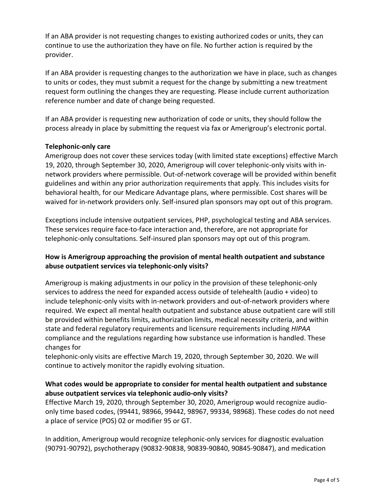If an ABA provider is not requesting changes to existing authorized codes or units, they can continue to use the authorization they have on file. No further action is required by the provider.

If an ABA provider is requesting changes to the authorization we have in place, such as changes to units or codes, they must submit a request for the change by submitting a new treatment request form outlining the changes they are requesting. Please include current authorization reference number and date of change being requested.

If an ABA provider is requesting new authorization of code or units, they should follow the process already in place by submitting the request via fax or Amerigroup's electronic portal.

#### **Telephonic-only care**

Amerigroup does not cover these services today (with limited state exceptions) effective March 19, 2020, through September 30, 2020, Amerigroup will cover telephonic-only visits with innetwork providers where permissible. Out-of-network coverage will be provided within benefit guidelines and within any prior authorization requirements that apply. This includes visits for behavioral health, for our Medicare Advantage plans, where permissible. Cost shares will be waived for in-network providers only. Self-insured plan sponsors may opt out of this program.

Exceptions include intensive outpatient services, PHP, psychological testing and ABA services. These services require face-to-face interaction and, therefore, are not appropriate for telephonic-only consultations. Self-insured plan sponsors may opt out of this program.

#### **How is Amerigroup approaching the provision of mental health outpatient and substance abuse outpatient services via telephonic-only visits?**

Amerigroup is making adjustments in our policy in the provision of these telephonic-only services to address the need for expanded access outside of telehealth (audio + video) to include telephonic-only visits with in-network providers and out-of-network providers where required. We expect all mental health outpatient and substance abuse outpatient care will still be provided within benefits limits, authorization limits, medical necessity criteria, and within state and federal regulatory requirements and licensure requirements including *HIPAA* compliance and the regulations regarding how substance use information is handled. These changes for

telephonic-only visits are effective March 19, 2020, through September 30, 2020. We will continue to actively monitor the rapidly evolving situation.

#### **What codes would be appropriate to consider for mental health outpatient and substance abuse outpatient services via telephonic audio-only visits?**

Effective March 19, 2020, through September 30, 2020, Amerigroup would recognize audioonly time based codes, (99441, 98966, 99442, 98967, 99334, 98968). These codes do not need a place of service (POS) 02 or modifier 95 or GT.

In addition, Amerigroup would recognize telephonic-only services for diagnostic evaluation (90791-90792), psychotherapy (90832-90838, 90839-90840, 90845-90847), and medication